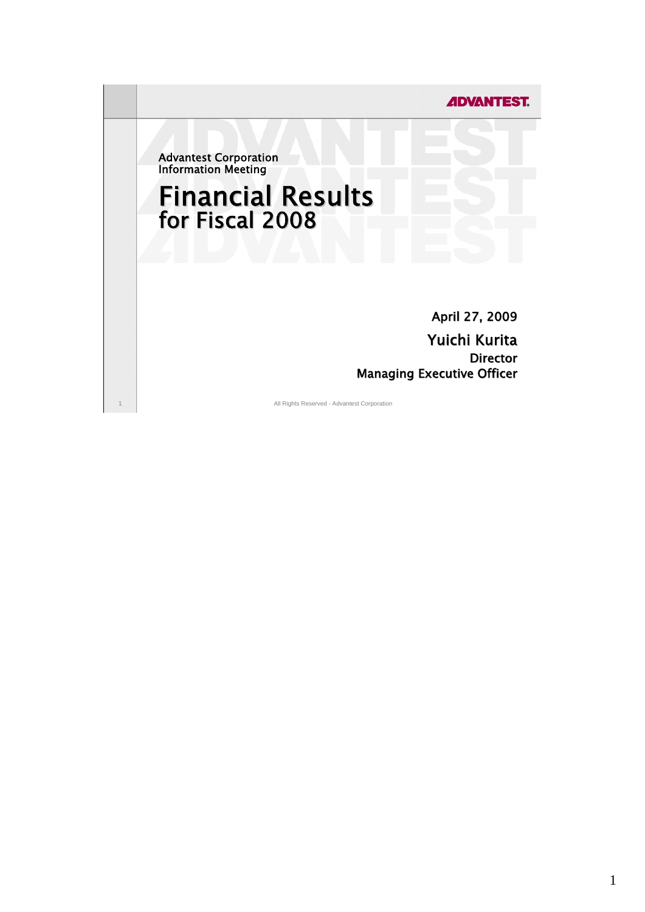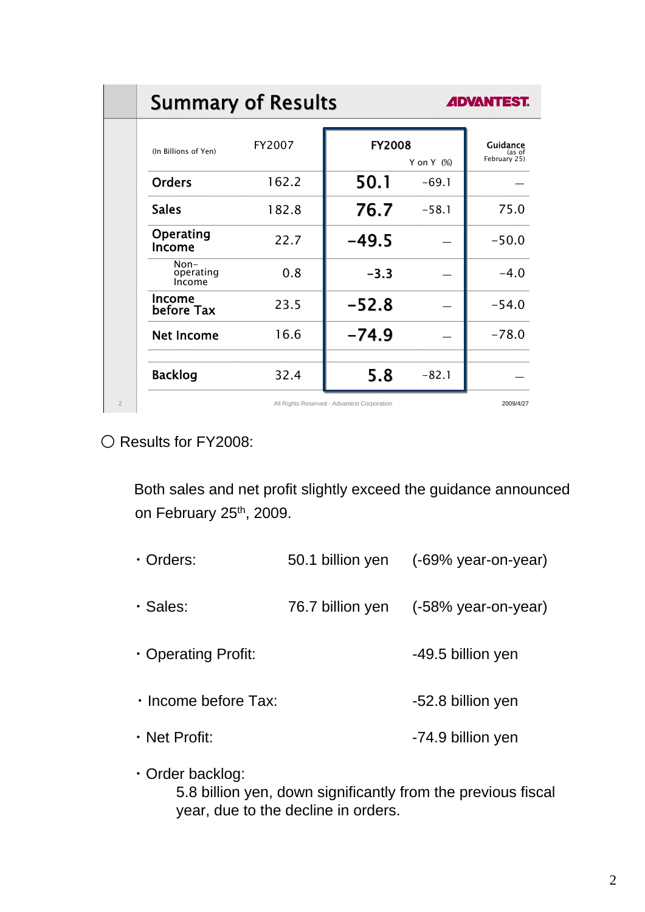|                | <b>Summary of Results</b>     | <b>ADVANTEST.</b> |                                             |               |                                    |
|----------------|-------------------------------|-------------------|---------------------------------------------|---------------|------------------------------------|
|                | (In Billions of Yen)          | FY2007            | <b>FY2008</b>                               | Y on Y $(\%)$ | Guidance<br>(as of<br>February 25) |
|                | <b>Orders</b>                 | 162.2             | 50.1                                        | $-69.1$       |                                    |
|                | <b>Sales</b>                  | 182.8             | 76.7                                        | $-58.1$       | 75.0                               |
|                | Operating<br>Income           | 22.7              | $-49.5$                                     |               | $-50.0$                            |
|                | $Non-$<br>operating<br>Income | 0.8               | $-3.3$                                      |               | $-4.0$                             |
|                | Income<br>before Tax          | 23.5              | $-52.8$                                     |               | $-54.0$                            |
|                | <b>Net Income</b>             | 16.6              | $-74.9$                                     |               | $-78.0$                            |
|                | <b>Backlog</b>                | 32.4              | 5.8                                         | $-82.1$       |                                    |
| $\overline{2}$ |                               |                   | All Rights Reserved - Advantest Corporation |               | 2009/4/27                          |

○ Results for FY2008:

Both sales and net profit slightly exceed the guidance announced on February 25<sup>th</sup>, 2009.

| $\cdot$ Orders:      |                  | 50.1 billion yen (-69% year-on-year) |
|----------------------|------------------|--------------------------------------|
| · Sales:             | 76.7 billion yen | $(-58\%$ year-on-year)               |
| • Operating Profit:  |                  | -49.5 billion yen                    |
| · Income before Tax: |                  | -52.8 billion yen                    |
| $\cdot$ Net Profit:  |                  | -74.9 billion yen                    |

・Order backlog:

 5.8 billion yen, down significantly from the previous fiscal year, due to the decline in orders.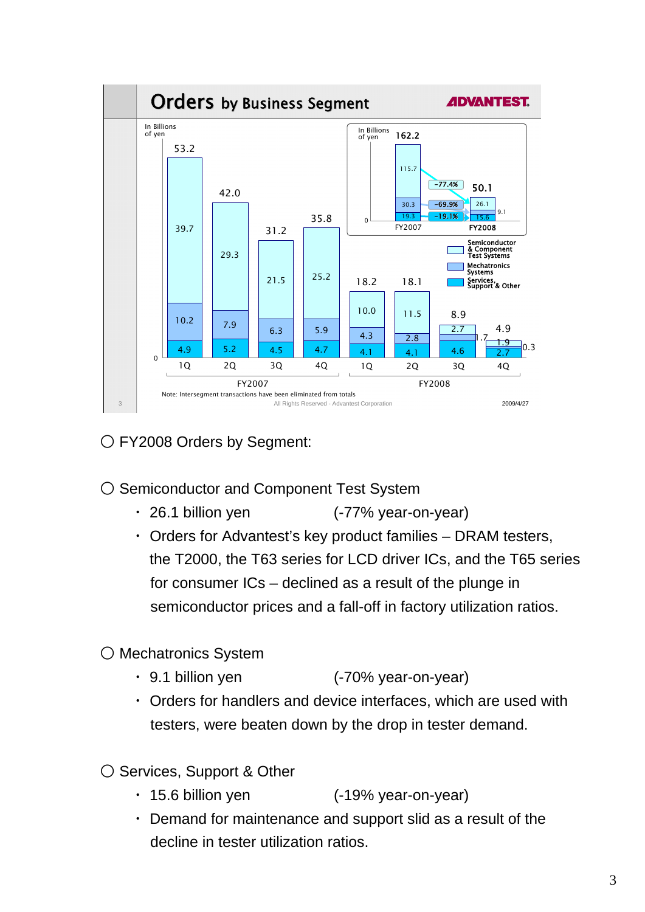

○ FY2008 Orders by Segment:

### ○ Semiconductor and Component Test System

- ・ 26.1 billion yen (-77% year-on-year)
- ・ Orders for Advantest's key product families DRAM testers, the T2000, the T63 series for LCD driver ICs, and the T65 series for consumer ICs – declined as a result of the plunge in semiconductor prices and a fall-off in factory utilization ratios.

# ○ Mechatronics System

- ・ 9.1 billion yen (-70% year-on-year)
- ・ Orders for handlers and device interfaces, which are used with testers, were beaten down by the drop in tester demand.

○ Services, Support & Other

- ・ 15.6 billion yen (-19% year-on-year)
- ・ Demand for maintenance and support slid as a result of the decline in tester utilization ratios.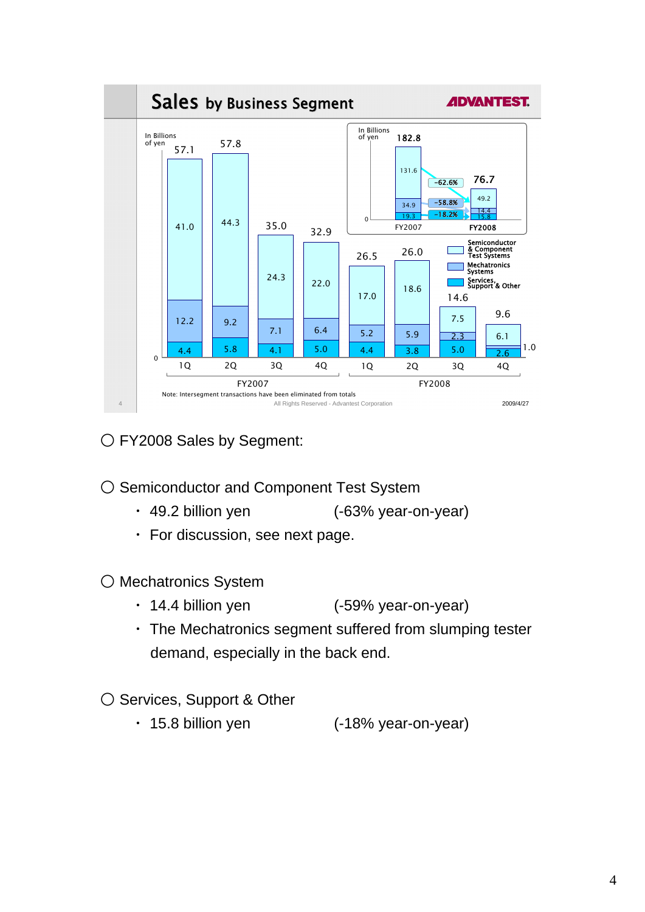

O FY2008 Sales by Segment:

○ Semiconductor and Component Test System

- ・ 49.2 billion yen (-63% year-on-year)
- ・ For discussion, see next page.

○ Mechatronics System

- ・ 14.4 billion yen (-59% year-on-year)
- ・ The Mechatronics segment suffered from slumping tester demand, especially in the back end.

# ○ Services, Support & Other

・ 15.8 billion yen (-18% year-on-year)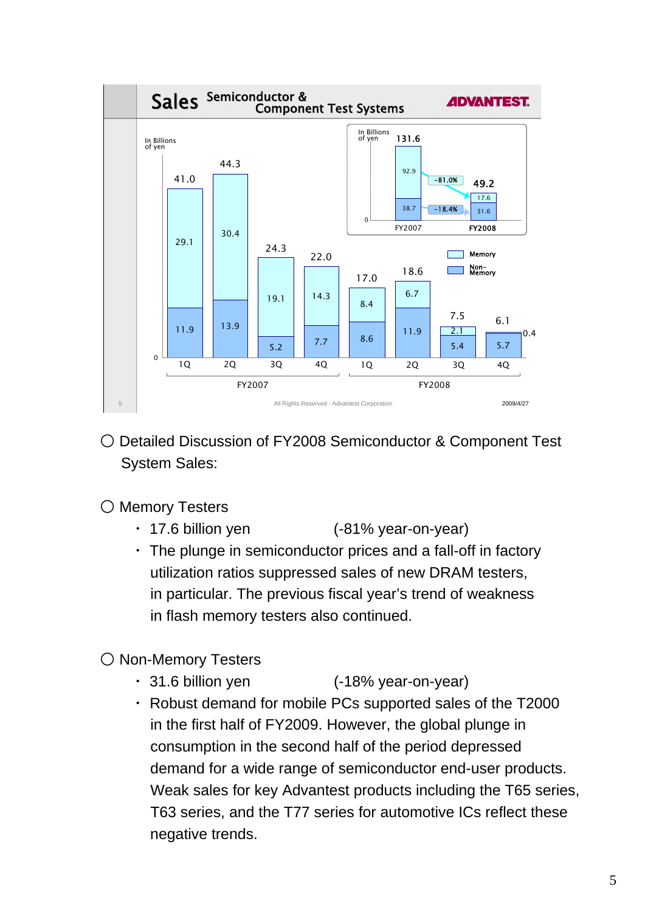

○ Detailed Discussion of FY2008 Semiconductor & Component Test System Sales:

### ○ Memory Testers

- ・ 17.6 billion yen (-81% year-on-year)
- ・ The plunge in semiconductor prices and a fall-off in factory utilization ratios suppressed sales of new DRAM testers, in particular. The previous fiscal year's trend of weakness in flash memory testers also continued.

# ○ Non-Memory Testers

- ・ 31.6 billion yen (-18% year-on-year)
- ・ Robust demand for mobile PCs supported sales of the T2000 in the first half of FY2009. However, the global plunge in consumption in the second half of the period depressed demand for a wide range of semiconductor end-user products. Weak sales for key Advantest products including the T65 series, T63 series, and the T77 series for automotive ICs reflect these negative trends.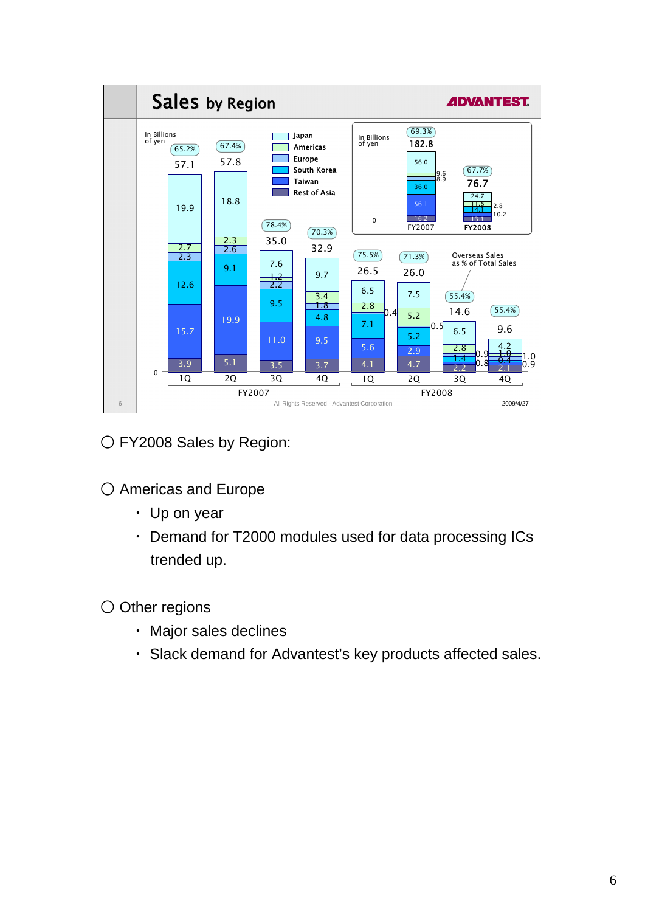

O FY2008 Sales by Region:

○ Americas and Europe

- ・ Up on year
- ・ Demand for T2000 modules used for data processing ICs trended up.

○ Other regions

- ・ Major sales declines
- ・ Slack demand for Advantest's key products affected sales.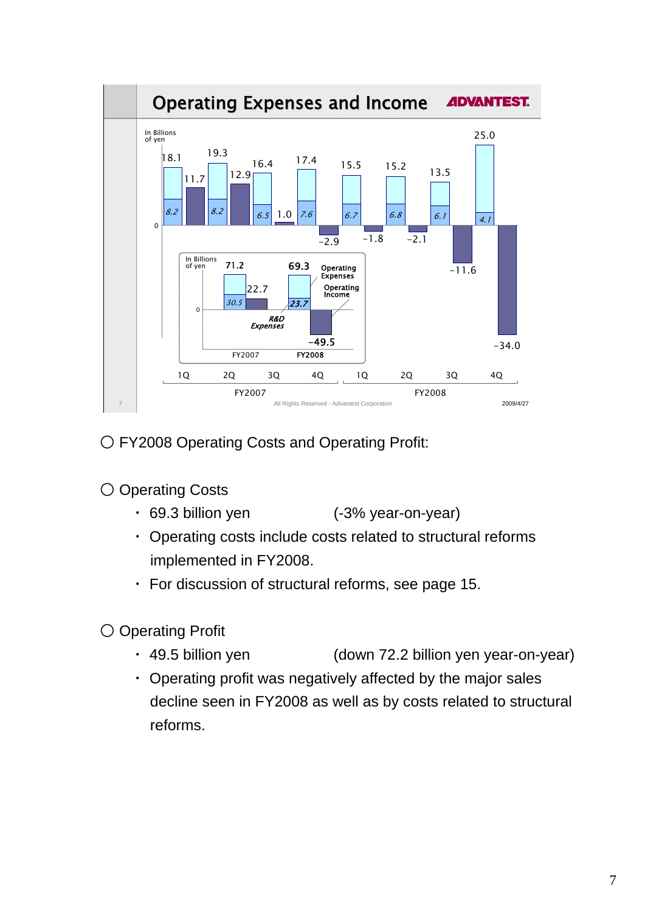

○ FY2008 Operating Costs and Operating Profit:

# ○ Operating Costs

- ・ 69.3 billion yen (-3% year-on-year)
- ・ Operating costs include costs related to structural reforms implemented in FY2008.
- ・ For discussion of structural reforms, see page 15.
- Operating Profit
	- ・ 49.5 billion yen (down 72.2 billion yen year-on-year)
	- ・ Operating profit was negatively affected by the major sales decline seen in FY2008 as well as by costs related to structural reforms.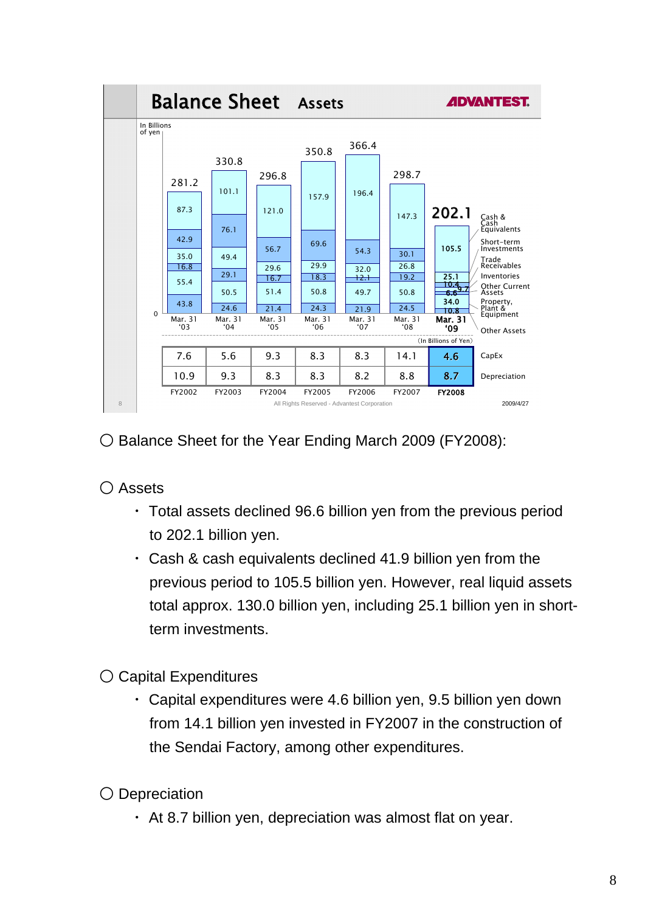

○ Balance Sheet for the Year Ending March 2009 (FY2008):

○ Assets

- ・ Total assets declined 96.6 billion yen from the previous period to 202.1 billion yen.
- ・ Cash & cash equivalents declined 41.9 billion yen from the previous period to 105.5 billion yen. However, real liquid assets total approx. 130.0 billion yen, including 25.1 billion yen in shortterm investments.
- Capital Expenditures
	- ・ Capital expenditures were 4.6 billion yen, 9.5 billion yen down from 14.1 billion yen invested in FY2007 in the construction of the Sendai Factory, among other expenditures.
- Depreciation
	- ・ At 8.7 billion yen, depreciation was almost flat on year.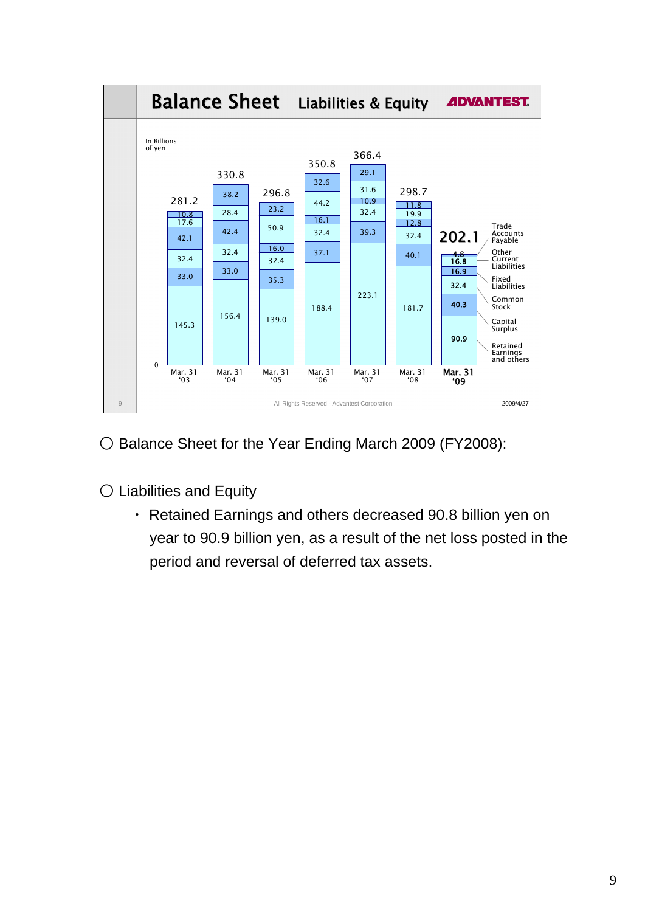

○ Balance Sheet for the Year Ending March 2009 (FY2008):

○ Liabilities and Equity

 ・ Retained Earnings and others decreased 90.8 billion yen on year to 90.9 billion yen, as a result of the net loss posted in the period and reversal of deferred tax assets.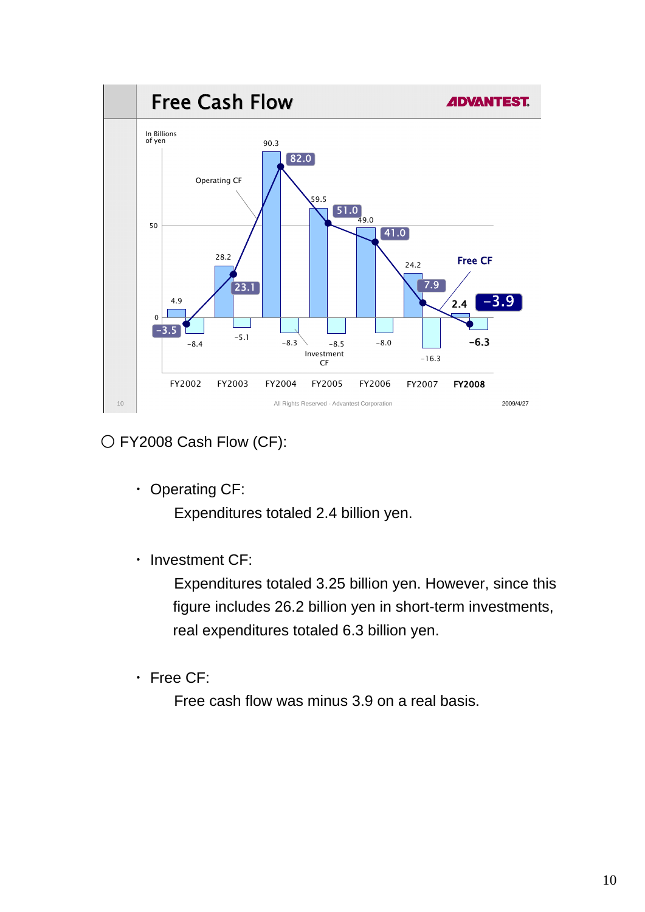

○ FY2008 Cash Flow (CF):

・ Operating CF:

Expenditures totaled 2.4 billion yen.

・ Investment CF:

 Expenditures totaled 3.25 billion yen. However, since this figure includes 26.2 billion yen in short-term investments, real expenditures totaled 6.3 billion yen.

・ Free CF:

Free cash flow was minus 3.9 on a real basis.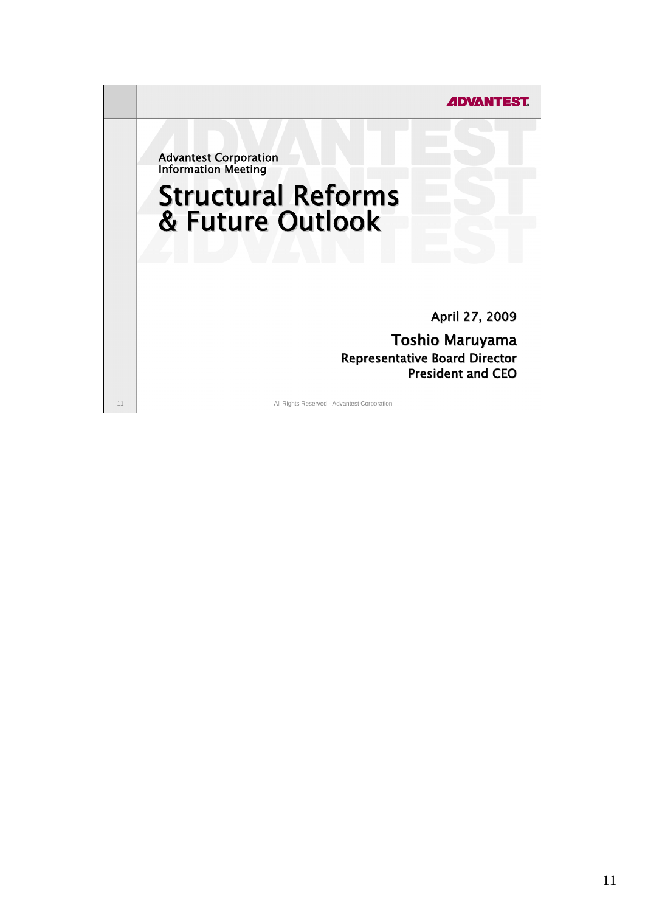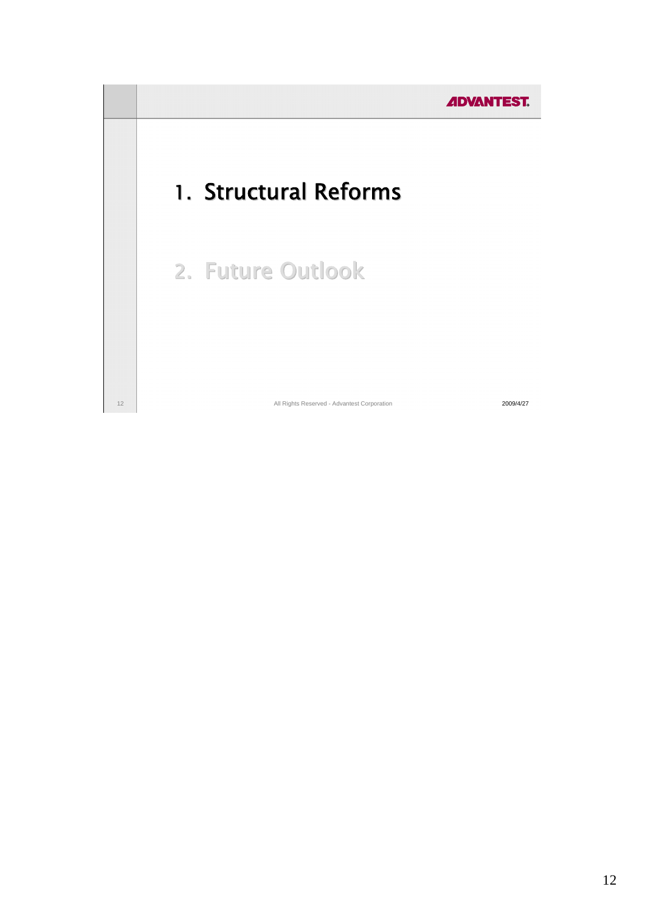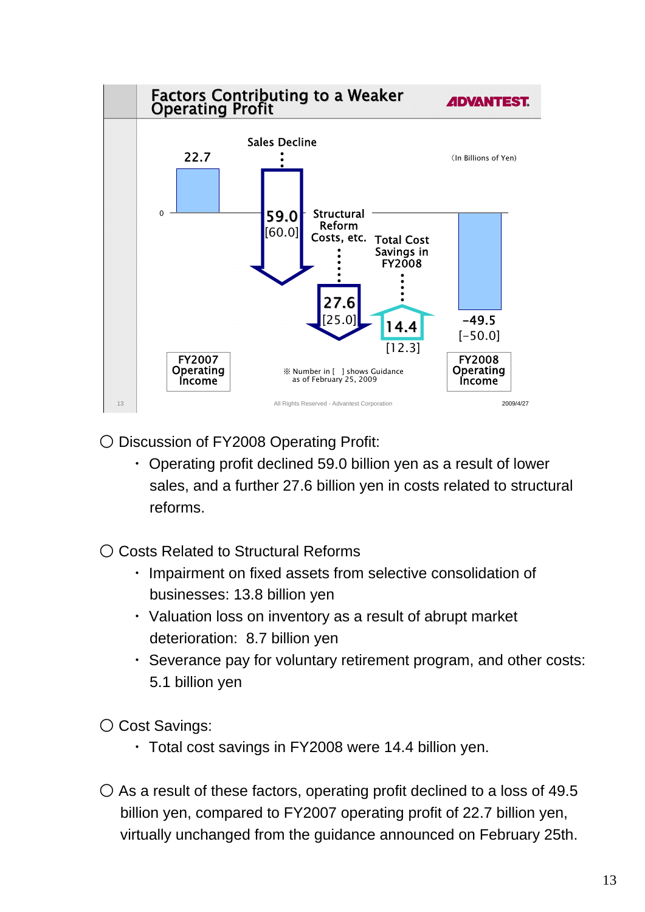

○ Discussion of FY2008 Operating Profit:

 ・ Operating profit declined 59.0 billion yen as a result of lower sales, and a further 27.6 billion yen in costs related to structural reforms.

○ Costs Related to Structural Reforms

- ・ Impairment on fixed assets from selective consolidation of businesses: 13.8 billion yen
- ・ Valuation loss on inventory as a result of abrupt market deterioration: 8.7 billion yen
- ・ Severance pay for voluntary retirement program, and other costs: 5.1 billion yen

○ Cost Savings:

- ・ Total cost savings in FY2008 were 14.4 billion yen.
- $\circ$  As a result of these factors, operating profit declined to a loss of 49.5 billion yen, compared to FY2007 operating profit of 22.7 billion yen, virtually unchanged from the guidance announced on February 25th.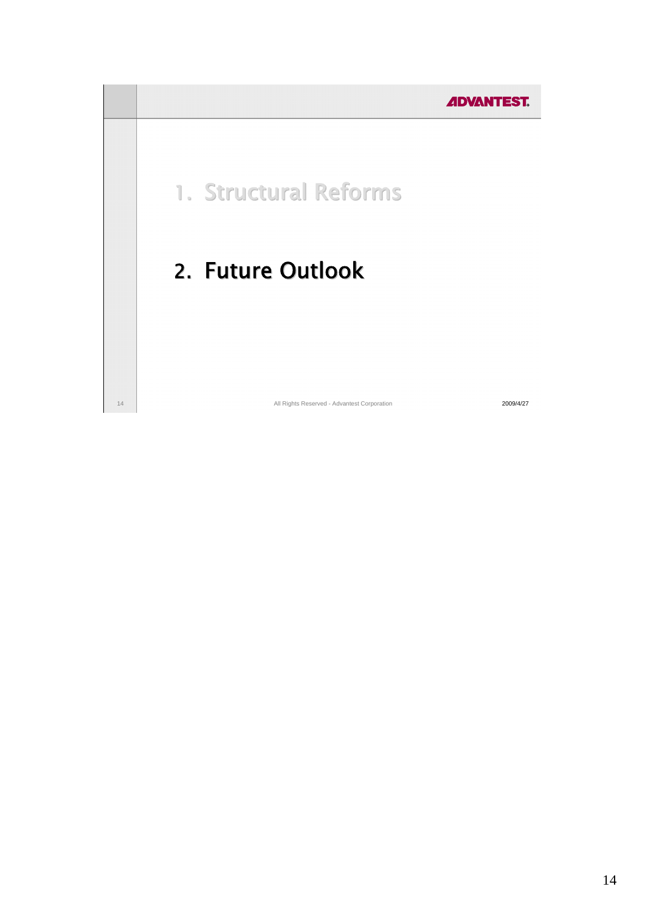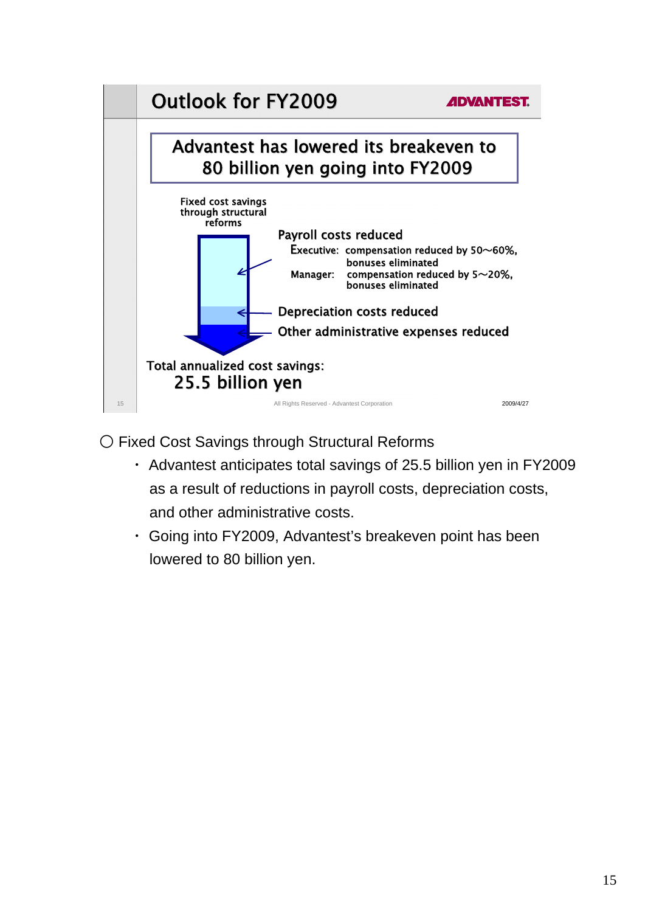

○ Fixed Cost Savings through Structural Reforms

- ・ Advantest anticipates total savings of 25.5 billion yen in FY2009 as a result of reductions in payroll costs, depreciation costs, and other administrative costs.
- ・ Going into FY2009, Advantest's breakeven point has been lowered to 80 billion yen.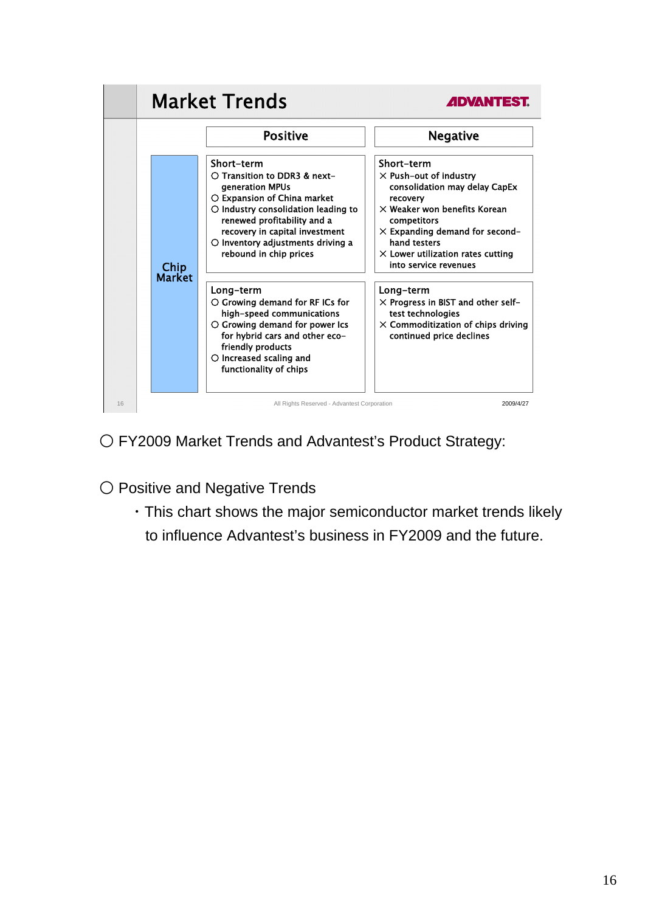

○ FY2009 Market Trends and Advantest's Product Strategy:

○ Positive and Negative Trends

 ・This chart shows the major semiconductor market trends likely to influence Advantest's business in FY2009 and the future.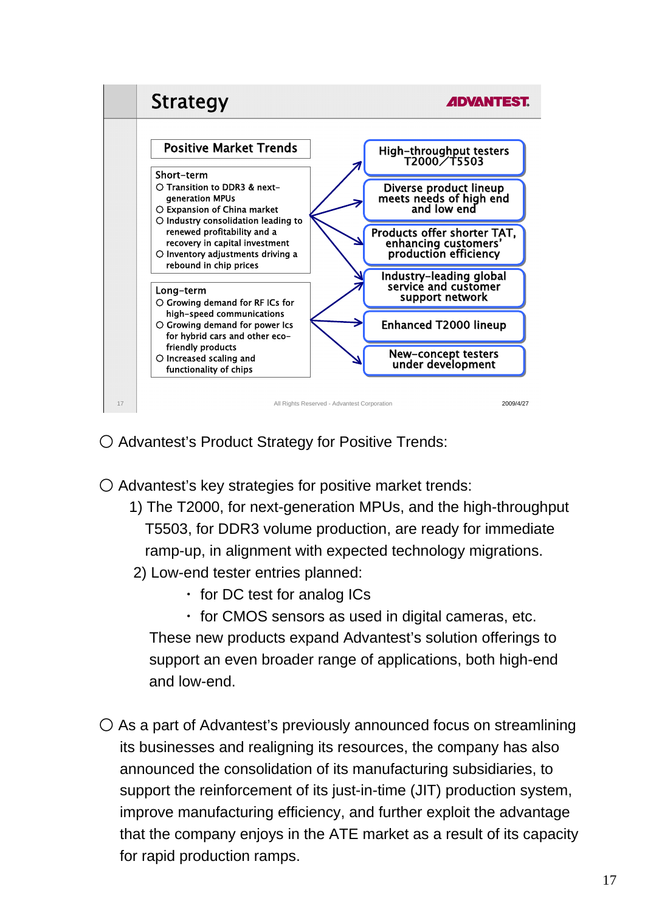

○ Advantest's Product Strategy for Positive Trends:

 $\bigcirc$  Advantest's key strategies for positive market trends:

- 1) The T2000, for next-generation MPUs, and the high-throughput T5503, for DDR3 volume production, are ready for immediate ramp-up, in alignment with expected technology migrations.
- 2) Low-end tester entries planned:
	- ・ for DC test for analog ICs
	- ・ for CMOS sensors as used in digital cameras, etc. These new products expand Advantest's solution offerings to support an even broader range of applications, both high-end and low-end.
- $\bigcirc$  As a part of Advantest's previously announced focus on streamlining its businesses and realigning its resources, the company has also announced the consolidation of its manufacturing subsidiaries, to support the reinforcement of its just-in-time (JIT) production system, improve manufacturing efficiency, and further exploit the advantage that the company enjoys in the ATE market as a result of its capacity for rapid production ramps.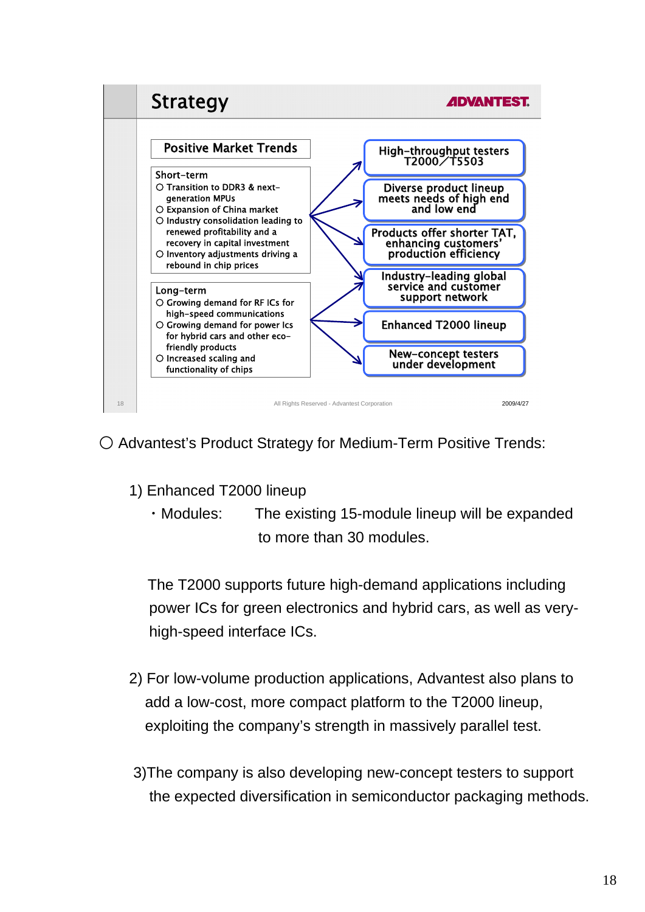

○ Advantest's Product Strategy for Medium-Term Positive Trends:

- 1) Enhanced T2000 lineup
	- ・Modules: The existing 15-module lineup will be expanded to more than 30 modules.

The T2000 supports future high-demand applications including power ICs for green electronics and hybrid cars, as well as veryhigh-speed interface ICs.

- 2) For low-volume production applications, Advantest also plans to add a low-cost, more compact platform to the T2000 lineup, exploiting the company's strength in massively parallel test.
- 3)The company is also developing new-concept testers to support the expected diversification in semiconductor packaging methods.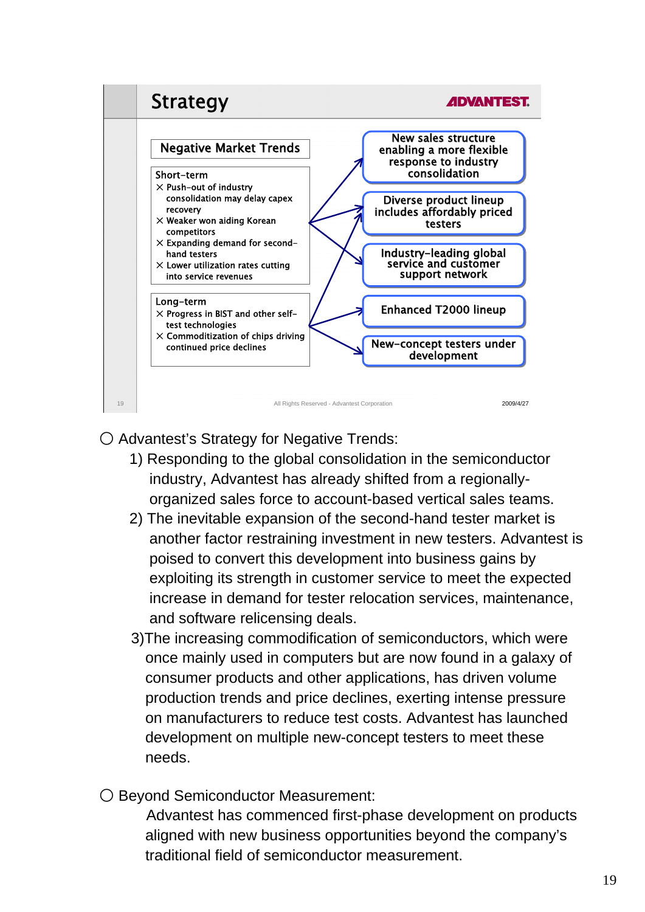

○ Advantest's Strategy for Negative Trends:

- 1) Responding to the global consolidation in the semiconductor industry, Advantest has already shifted from a regionallyorganized sales force to account-based vertical sales teams.
- 2) The inevitable expansion of the second-hand tester market is another factor restraining investment in new testers. Advantest is poised to convert this development into business gains by exploiting its strength in customer service to meet the expected increase in demand for tester relocation services, maintenance, and software relicensing deals.
- 3)The increasing commodification of semiconductors, which were once mainly used in computers but are now found in a galaxy of consumer products and other applications, has driven volume production trends and price declines, exerting intense pressure on manufacturers to reduce test costs. Advantest has launched development on multiple new-concept testers to meet these needs.
- Beyond Semiconductor Measurement:

 Advantest has commenced first-phase development on products aligned with new business opportunities beyond the company's traditional field of semiconductor measurement.